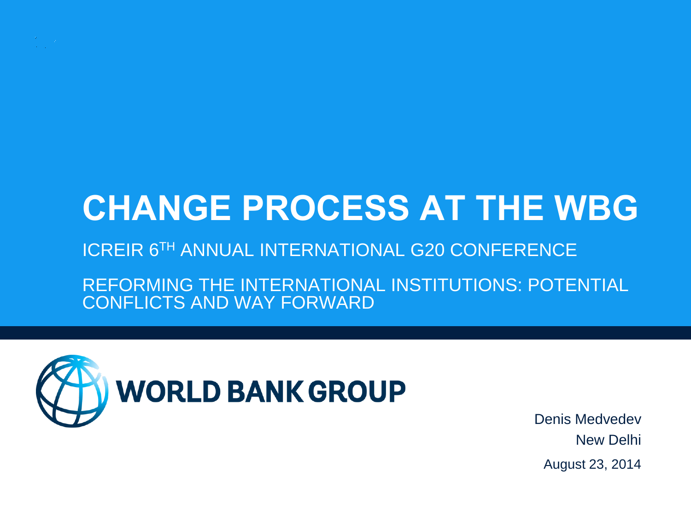

# **CHANGE PROCESS AT THE WBG**

#### ICREIR 6TH ANNUAL INTERNATIONAL G20 CONFERENCE

REFORMING THE INTERNATIONAL INSTITUTIONS: POTENTIAL CONFLICTS AND WAY FORWARD



Denis Medvedev New Delhi August 23, 2014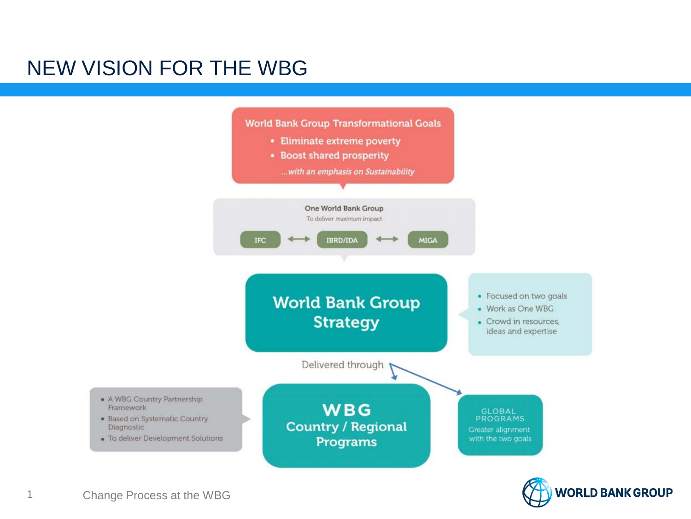#### NEW VISION FOR THE WBG



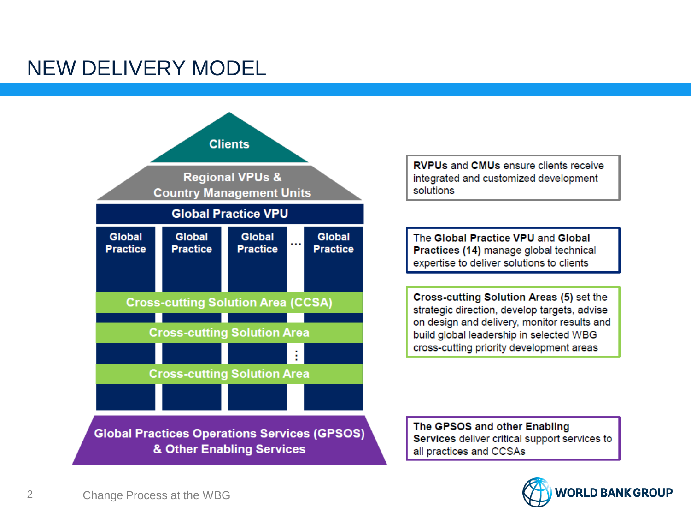#### NEW DELIVERY MODEL



**RVPUs and CMUs ensure clients receive** integrated and customized development solutions

The Global Practice VPU and Global Practices (14) manage global technical expertise to deliver solutions to clients

Cross-cutting Solution Areas (5) set the strategic direction, develop targets, advise on design and delivery, monitor results and build global leadership in selected WBG cross-cutting priority development areas

The GPSOS and other Enabling Services deliver critical support services to all practices and CCSAs

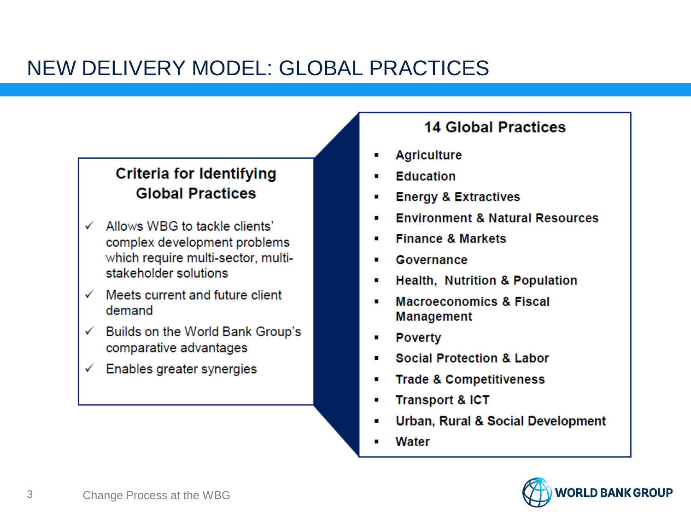### NEW DELIVERY MODEL: GLOBAL PRACTICES

#### **Criteria for Identifying Global Practices**

- $\checkmark$  Allows WBG to tackle clients' complex development problems which require multi-sector, multistakeholder solutions
- $\checkmark$  Meets current and future client demand
- $\checkmark$  Builds on the World Bank Group's comparative advantages
- Enables greater synergies  $\checkmark$

#### **14 Global Practices**

- **Agriculture**
- **Education**
- **Energy & Extractives**
- **Environment & Natural Resources**
- **Finance & Markets**
- Governance
- **Health, Nutrition & Population**
- **Macroeconomics & Fiscal Management**
- **Poverty**
- **Social Protection & Labor**
- **Trade & Competitiveness** п
- **Transport & ICT**
- Urban, Rural & Social Development
- Water

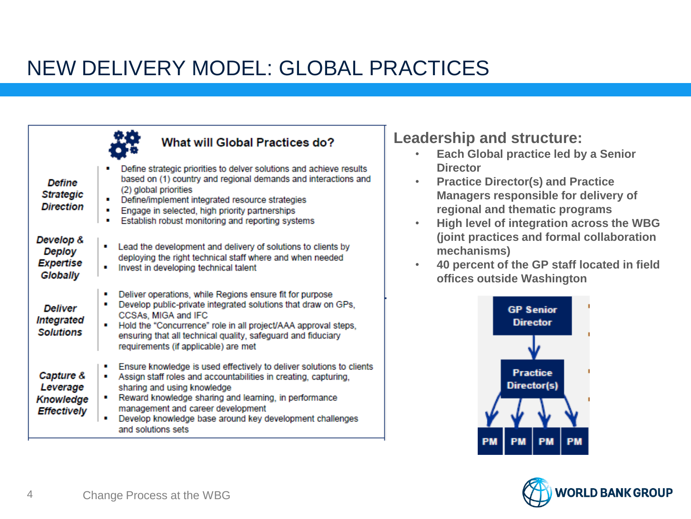### NEW DELIVERY MODEL: GLOBAL PRACTICES

|                                                                 | What will Global Practices do?                                                                                                                                                                                                                                                                                                                                        |
|-----------------------------------------------------------------|-----------------------------------------------------------------------------------------------------------------------------------------------------------------------------------------------------------------------------------------------------------------------------------------------------------------------------------------------------------------------|
| <b>Define</b><br><b>Strategic</b><br><b>Direction</b>           | Define strategic priorities to delver solutions and achieve results<br>based on (1) country and regional demands and interactions and<br>(2) global priorities<br>Define/implement integrated resource strategies<br>Engage in selected, high priority partnerships<br>п<br>Establish robust monitoring and reporting systems<br>п                                    |
| Develop &<br>Deploy<br>Expertise<br><b>Globally</b>             | Lead the development and delivery of solutions to clients by<br>п<br>deploying the right technical staff where and when needed<br>Invest in developing technical talent                                                                                                                                                                                               |
| <b>Deliver</b><br><b>Integrated</b><br><b>Solutions</b>         | Deliver operations, while Regions ensure fit for purpose<br>п<br>Develop public-private integrated solutions that draw on GPs,<br>٠<br>CCSAs, MIGA and IFC<br>Hold the "Concurrence" role in all project/AAA approval steps,<br>٠<br>ensuring that all technical quality, safeguard and fiduciary<br>requirements (if applicable) are met                             |
| Capture &<br>Leverage<br><b>Knowledge</b><br><b>Effectively</b> | Ensure knowledge is used effectively to deliver solutions to clients<br>Assign staff roles and accountabilities in creating, capturing,<br>п<br>sharing and using knowledge<br>Reward knowledge sharing and learning, in performance<br>п<br>management and career development<br>Develop knowledge base around key development challenges<br>п<br>and solutions sets |

**Leadership and structure:**

- **Each Global practice led by a Senior Director**
- **Practice Director(s) and Practice Managers responsible for delivery of regional and thematic programs**
- **High level of integration across the WBG (joint practices and formal collaboration mechanisms)**
- **40 percent of the GP staff located in field offices outside Washington**



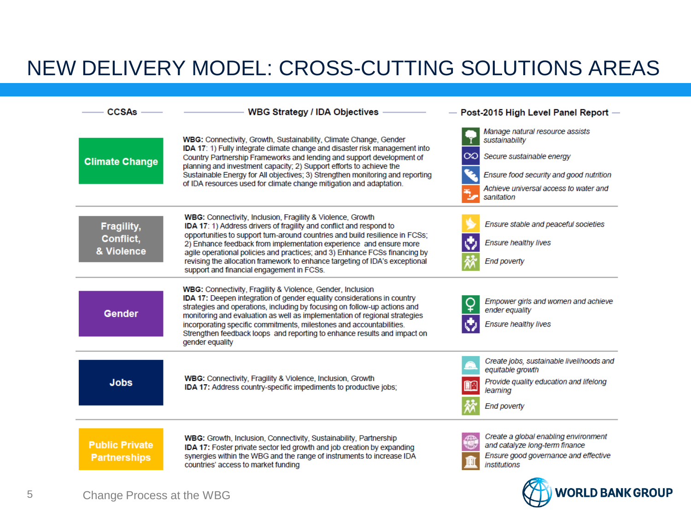### NEW DELIVERY MODEL: CROSS-CUTTING SOLUTIONS AREAS

| CCSAs -                                      | WBG Strategy / IDA Objectives -                                                                                                                                                                                                                                                                                                                                                                                                                                                                          | $-$ Post-2015 High Level Panel Report $-$                                                                                                                                                    |
|----------------------------------------------|----------------------------------------------------------------------------------------------------------------------------------------------------------------------------------------------------------------------------------------------------------------------------------------------------------------------------------------------------------------------------------------------------------------------------------------------------------------------------------------------------------|----------------------------------------------------------------------------------------------------------------------------------------------------------------------------------------------|
| <b>Climate Change</b>                        | WBG: Connectivity, Growth, Sustainability, Climate Change, Gender<br>IDA 17: 1) Fully integrate climate change and disaster risk management into<br>Country Partnership Frameworks and lending and support development of<br>planning and investment capacity; 2) Support efforts to achieve the<br>Sustainable Energy for All objectives; 3) Strengthen monitoring and reporting<br>of IDA resources used for climate change mitigation and adaptation.                                                 | Manage natural resource assists<br>sustainability<br>$\infty$<br>Secure sustainable energy<br>Ensure food security and good nutrition<br>Achieve universal access to water and<br>sanitation |
| Fragility,<br>Conflict,<br>& Violence        | <b>WBG:</b> Connectivity, Inclusion, Fragility & Violence, Growth<br>IDA 17: 1) Address drivers of fragility and conflict and respond to<br>opportunities to support turn-around countries and build resilience in FCSs;<br>2) Enhance feedback from implementation experience and ensure more<br>agile operational policies and practices; and 3) Enhance FCSs financing by<br>revising the allocation framework to enhance targeting of IDA's exceptional<br>support and financial engagement in FCSs. | Ensure stable and peaceful societies<br><b>Ensure healthy lives</b><br><b>End poverty</b>                                                                                                    |
| Gender                                       | WBG: Connectivity, Fragility & Violence, Gender, Inclusion<br>IDA 17: Deepen integration of gender equality considerations in country<br>strategies and operations, including by focusing on follow-up actions and<br>monitoring and evaluation as well as implementation of regional strategies<br>incorporating specific commitments, milestones and accountabilities.<br>Strengthen feedback loops and reporting to enhance results and impact on<br>gender equality                                  | Empower girls and women and achieve<br>ender equality<br><b>Ensure healthy lives</b>                                                                                                         |
| <b>Jobs</b>                                  | <b>WBG:</b> Connectivity, Fragility & Violence, Inclusion, Growth<br>IDA 17: Address country-specific impediments to productive jobs;                                                                                                                                                                                                                                                                                                                                                                    | Create jobs, sustainable livelihoods and<br>equitable growth<br>Provide quality education and lifelong<br>learning<br><b>End poverty</b>                                                     |
| <b>Public Private</b><br><b>Partnerships</b> | WBG: Growth, Inclusion, Connectivity, Sustainability, Partnership<br><b>IDA 17:</b> Foster private sector led growth and job creation by expanding<br>synergies within the WBG and the range of instruments to increase IDA<br>countries' access to market funding                                                                                                                                                                                                                                       | Create a global enabling environment<br>and catalyze long-term finance<br>Ensure good governance and effective<br><i>institutions</i>                                                        |

**WORLD BANK GROUP**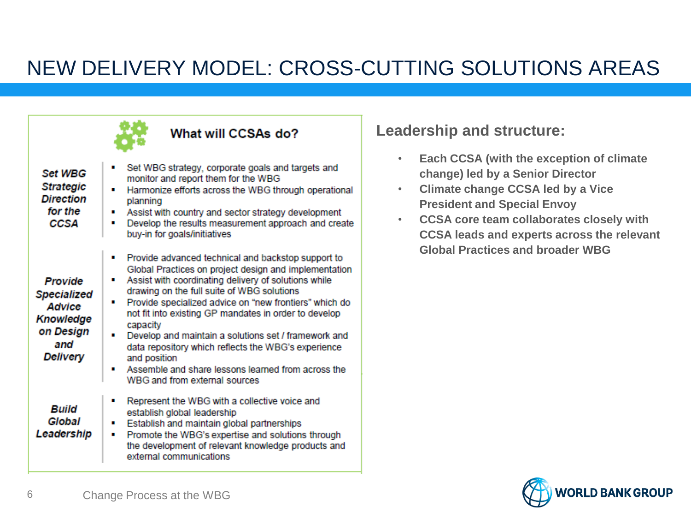## NEW DELIVERY MODEL: CROSS-CUTTING SOLUTIONS AREAS

|                                                                                             | ، WildL Will CCSAS UO                                                                                                                                                                                                                                                                                                                                                                                                                                                                                                                                                                 |
|---------------------------------------------------------------------------------------------|---------------------------------------------------------------------------------------------------------------------------------------------------------------------------------------------------------------------------------------------------------------------------------------------------------------------------------------------------------------------------------------------------------------------------------------------------------------------------------------------------------------------------------------------------------------------------------------|
| <b>Set WBG</b><br><b>Strategic</b><br><b>Direction</b><br>for the<br>CCSA                   | Set WBG strategy, corporate goals and targets and<br>monitor and report them for the WBG<br>Harmonize efforts across the WBG through operational<br>planning<br>Assist with country and sector strategy development<br>٠<br>Develop the results measurement approach and create<br>buy-in for goals/initiatives                                                                                                                                                                                                                                                                       |
| Provide<br><b>Specialized</b><br>Advice<br>Knowledge<br>on Design<br>and<br><b>Delivery</b> | Provide advanced technical and backstop support to<br>п<br>Global Practices on project design and implementation<br>Assist with coordinating delivery of solutions while<br>п<br>drawing on the full suite of WBG solutions<br>Provide specialized advice on "new frontiers" which do<br>п<br>not fit into existing GP mandates in order to develop<br>capacity<br>Develop and maintain a solutions set / framework and<br>data repository which reflects the WBG's experience<br>and position<br>Assemble and share lessons learned from across the<br>WBG and from external sources |
| Build<br>Global<br>Leadership                                                               | Represent the WBG with a collective voice and<br>п<br>establish global leadership<br>Establish and maintain global partnerships<br>п<br>Promote the WBG's expertise and solutions through<br>п<br>the development of relevant knowledge products and<br>external communications                                                                                                                                                                                                                                                                                                       |

 $M_{\text{total}}$  will connected

#### **Leadership and structure:**

- **Each CCSA (with the exception of climate change) led by a Senior Director**
- **Climate change CCSA led by a Vice President and Special Envoy**
- **CCSA core team collaborates closely with CCSA leads and experts across the relevant Global Practices and broader WBG**

春秋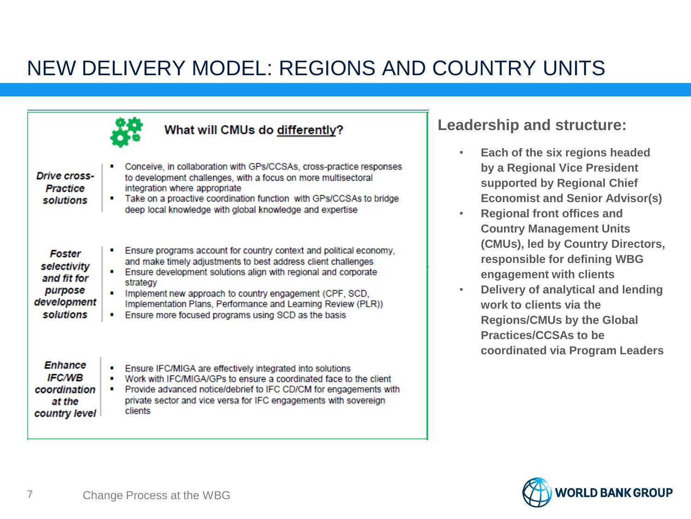### NEW DELIVERY MODEL: REGIONS AND COUNTRY UNITS

|                                                                             | What will CMUs do differently?                                                                                                                                                                                                                                                                                                                                                                           |
|-----------------------------------------------------------------------------|----------------------------------------------------------------------------------------------------------------------------------------------------------------------------------------------------------------------------------------------------------------------------------------------------------------------------------------------------------------------------------------------------------|
| <b>Drive cross-</b><br>Practice<br>solutions                                | Conceive, in collaboration with GPs/CCSAs, cross-practice responses<br>to development challenges, with a focus on more multisectoral<br>integration where appropriate<br>Take on a proactive coordination function with GPs/CCSAs to bridge<br>deep local knowledge with global knowledge and expertise                                                                                                  |
| Foster<br>selectivity<br>and fit for<br>purpose<br>development<br>solutions | Ensure programs account for country context and political economy,<br>and make timely adjustments to best address client challenges<br>Ensure development solutions align with regional and corporate<br>strategy<br>Implement new approach to country engagement (CPF, SCD,<br>Implementation Plans, Performance and Learning Review (PLR))<br>Ensure more focused programs using SCD as the basis<br>п |
| Enhance<br><b>IFC/WB</b><br>coordination<br>at the<br>country level         | Ensure IFC/MIGA are effectively integrated into solutions<br>Work with IFC/MIGA/GPs to ensure a coordinated face to the client<br>Provide advanced notice/debrief to IFC CD/CM for engagements with<br>п<br>private sector and vice versa for IFC engagements with sovereign<br>clients                                                                                                                  |

#### **Leadership and structure:**

- **Each of the six regions headed by a Regional Vice President supported by Regional Chief Economist and Senior Advisor(s)**
- **Regional front offices and Country Management Units (CMUs), led by Country Directors, responsible for defining WBG engagement with clients**
- **Delivery of analytical and lending work to clients via the Regions/CMUs by the Global Practices/CCSAs to be coordinated via Program Leaders**

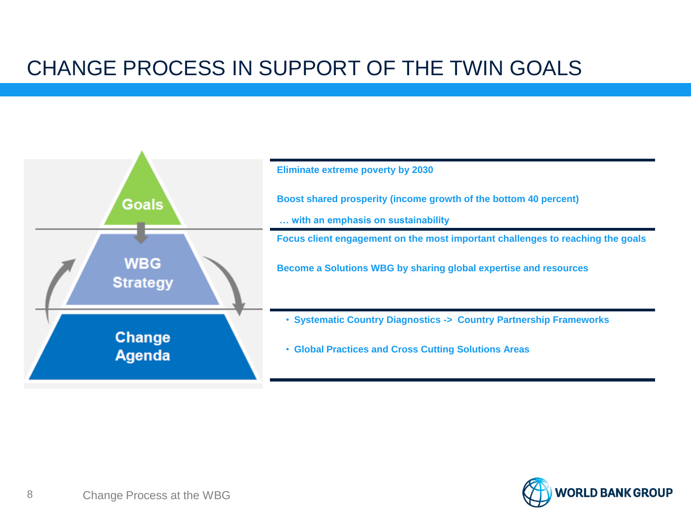### CHANGE PROCESS IN SUPPORT OF THE TWIN GOALS